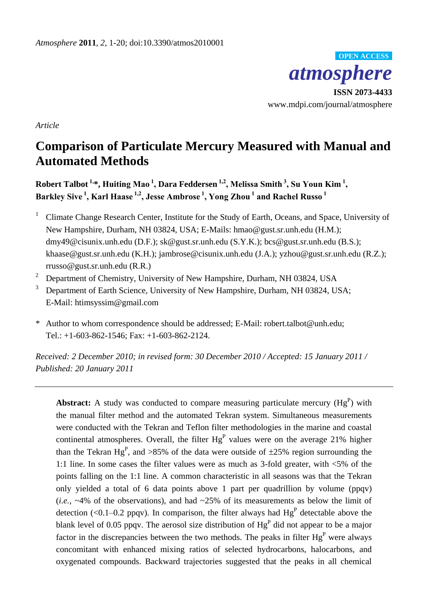

**ISSN 2073-4433** www.mdpi.com/journal/atmosphere

*Article*

# **Comparison of Particulate Mercury Measured with Manual and Automated Methods**

**Robert Talbot 1,\*, Huiting Mao <sup>1</sup> , Dara Feddersen 1,<sup>2</sup> , Melissa Smith <sup>3</sup> , Su Youn Kim <sup>1</sup> , Barkley Sive <sup>1</sup> , Karl Haase 1,2 , Jesse Ambrose <sup>1</sup> , Yong Zhou <sup>1</sup> and Rachel Russo <sup>1</sup>**

<sup>1</sup> Climate Change Research Center, Institute for the Study of Earth, Oceans, and Space, University of New Hampshire, Durham, NH 03824, USA; E-Mails: hmao@gust.sr.unh.edu (H.M.); dmy49@cisunix.unh.edu (D.F.); sk@gust.sr.unh.edu (S.Y.K.); bcs@gust.sr.unh.edu (B.S.); khaase@gust.sr.unh.edu (K.H.); jambrose@cisunix.unh.edu (J.A.); yzhou@gust.sr.unh.edu (R.Z.); rrusso@gust.sr.unh.edu (R.R.)

- <sup>2</sup> Department of Chemistry, University of New Hampshire, Durham, NH 03824, USA
- <sup>3</sup> Department of Earth Science, University of New Hampshire, Durham, NH 03824, USA; E-Mail: htimsyssim@gmail.com
- \* Author to whom correspondence should be addressed; E-Mail: robert.talbot@unh.edu; Tel.: +1-603-862-1546; Fax: +1-603-862-2124.

*Received: 2 December 2010; in revised form: 30 December 2010 / Accepted: 15 January 2011 / Published: 20 January 2011*

**Abstract:** A study was conducted to compare measuring particulate mercury  $(Hg<sup>P</sup>)$  with the manual filter method and the automated Tekran system. Simultaneous measurements were conducted with the Tekran and Teflon filter methodologies in the marine and coastal continental atmospheres. Overall, the filter  $Hg<sup>P</sup>$  values were on the average 21% higher than the Tekran Hg<sup>P</sup>, and >85% of the data were outside of  $\pm 25$ % region surrounding the 1:1 line. In some cases the filter values were as much as 3-fold greater, with <5% of the points falling on the 1:1 line. A common characteristic in all seasons was that the Tekran only yielded a total of 6 data points above 1 part per quadrillion by volume (ppqv) (*i.e.*,  $\sim$ 4% of the observations), and had  $\sim$ 25% of its measurements as below the limit of detection (<0.1–0.2 ppqv). In comparison, the filter always had  $Hg<sup>P</sup>$  detectable above the blank level of 0.05 ppqv. The aerosol size distribution of  $Hg<sup>P</sup>$  did not appear to be a major factor in the discrepancies between the two methods. The peaks in filter  $Hg<sup>P</sup>$  were always concomitant with enhanced mixing ratios of selected hydrocarbons, halocarbons, and oxygenated compounds. Backward trajectories suggested that the peaks in all chemical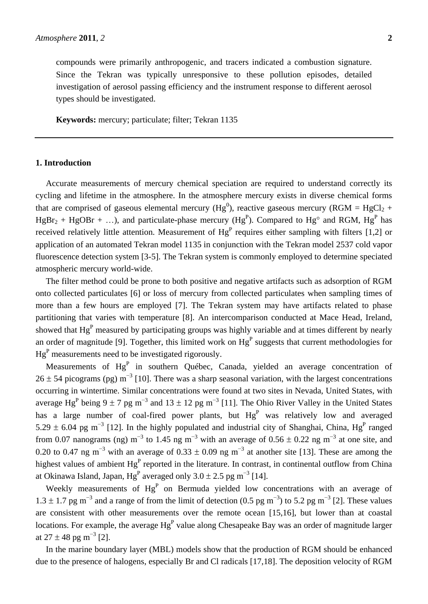compounds were primarily anthropogenic, and tracers indicated a combustion signature. Since the Tekran was typically unresponsive to these pollution episodes, detailed investigation of aerosol passing efficiency and the instrument response to different aerosol types should be investigated.

**Keywords:** mercury; particulate; filter; Tekran 1135

# **1. Introduction**

Accurate measurements of mercury chemical speciation are required to understand correctly its cycling and lifetime in the atmosphere. In the atmosphere mercury exists in diverse chemical forms that are comprised of gaseous elemental mercury (Hg<sup>0</sup>), reactive gaseous mercury (RGM = HgCl<sub>2</sub> +  $HgBr_2 + HgOH + ...$ , and particulate-phase mercury ( $Hg^P$ ). Compared to  $Hg^{\circ}$  and RGM,  $Hg^P$  has received relatively little attention. Measurement of  $Hg<sup>P</sup>$  requires either sampling with filters [1,2] or application of an automated Tekran model 1135 in conjunction with the Tekran model 2537 cold vapor fluorescence detection system [3-5]. The Tekran system is commonly employed to determine speciated atmospheric mercury world-wide.

The filter method could be prone to both positive and negative artifacts such as adsorption of RGM onto collected particulates [6] or loss of mercury from collected particulates when sampling times of more than a few hours are employed [7]. The Tekran system may have artifacts related to phase partitioning that varies with temperature [8]. An intercomparison conducted at Mace Head, Ireland, showed that Hg<sup>P</sup> measured by participating groups was highly variable and at times different by nearly an order of magnitude [9]. Together, this limited work on  $Hg<sup>P</sup>$  suggests that current methodologies for  $Hg<sup>P</sup>$  measurements need to be investigated rigorously.

Measurements of  $Hg<sup>P</sup>$  in southern Québec, Canada, yielded an average concentration of 26  $\pm$  54 picograms (pg) m<sup>-3</sup> [10]. There was a sharp seasonal variation, with the largest concentrations occurring in wintertime. Similar concentrations were found at two sites in Nevada, United States, with average Hg<sup>P</sup> being 9 ± 7 pg m<sup>-3</sup> and 13 ± 12 pg m<sup>-3</sup> [11]. The Ohio River Valley in the United States has a large number of coal-fired power plants, but  $Hg<sup>P</sup>$  was relatively low and averaged 5.29  $\pm$  6.04 pg m<sup>-3</sup> [12]. In the highly populated and industrial city of Shanghai, China, Hg<sup>P</sup> ranged from 0.07 nanograms (ng) m<sup>-3</sup> to 1.45 ng m<sup>-3</sup> with an average of 0.56  $\pm$  0.22 ng m<sup>-3</sup> at one site, and 0.20 to 0.47 ng m<sup>-3</sup> with an average of 0.33  $\pm$  0.09 ng m<sup>-3</sup> at another site [13]. These are among the highest values of ambient Hg<sup>P</sup> reported in the literature. In contrast, in continental outflow from China at Okinawa Island, Japan,  $Hg<sup>P</sup>$  averaged only 3.0  $\pm$  2.5 pg m<sup>-3</sup> [14].

Weekly measurements of  $Hg<sup>P</sup>$  on Bermuda yielded low concentrations with an average of 1.3 ± 1.7 pg m<sup>-3</sup> and a range of from the limit of detection (0.5 pg m<sup>-3</sup>) to 5.2 pg m<sup>-3</sup> [2]. These values are consistent with other measurements over the remote ocean [15,16], but lower than at coastal locations. For example, the average  $Hg<sup>P</sup>$  value along Chesapeake Bay was an order of magnitude larger at  $27 \pm 48$  pg m<sup>-3</sup> [2].

In the marine boundary layer (MBL) models show that the production of RGM should be enhanced due to the presence of halogens, especially Br and Cl radicals [17,18]. The deposition velocity of RGM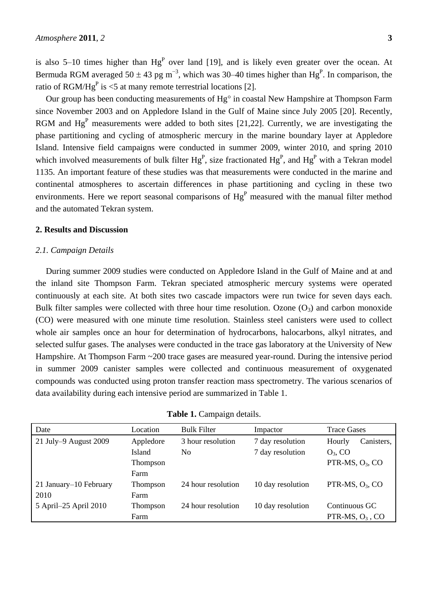is also 5–10 times higher than  $Hg<sup>P</sup>$  over land [19], and is likely even greater over the ocean. At Bermuda RGM averaged  $50 \pm 43$  pg m<sup>-3</sup>, which was 30–40 times higher than Hg<sup>P</sup>. In comparison, the ratio of RGM/Hg<sup>P</sup> is <5 at many remote terrestrial locations [2].

Our group has been conducting measurements of  $Hg^{\circ}$  in coastal New Hampshire at Thompson Farm since November 2003 and on Appledore Island in the Gulf of Maine since July 2005 [20]. Recently, RGM and  $Hg<sup>P</sup>$  measurements were added to both sites [21,22]. Currently, we are investigating the phase partitioning and cycling of atmospheric mercury in the marine boundary layer at Appledore Island. Intensive field campaigns were conducted in summer 2009, winter 2010, and spring 2010 which involved measurements of bulk filter  $Hg<sup>P</sup>$ , size fractionated  $Hg<sup>P</sup>$ , and  $Hg<sup>P</sup>$  with a Tekran model 1135. An important feature of these studies was that measurements were conducted in the marine and continental atmospheres to ascertain differences in phase partitioning and cycling in these two environments. Here we report seasonal comparisons of  $Hg<sup>P</sup>$  measured with the manual filter method and the automated Tekran system.

## **2. Results and Discussion**

## *2.1. Campaign Details*

During summer 2009 studies were conducted on Appledore Island in the Gulf of Maine and at and the inland site Thompson Farm. Tekran speciated atmospheric mercury systems were operated continuously at each site. At both sites two cascade impactors were run twice for seven days each. Bulk filter samples were collected with three hour time resolution. Ozone  $(O_3)$  and carbon monoxide (CO) were measured with one minute time resolution. Stainless steel canisters were used to collect whole air samples once an hour for determination of hydrocarbons, halocarbons, alkyl nitrates, and selected sulfur gases. The analyses were conducted in the trace gas laboratory at the University of New Hampshire. At Thompson Farm ~200 trace gases are measured year-round. During the intensive period in summer 2009 canister samples were collected and continuous measurement of oxygenated compounds was conducted using proton transfer reaction mass spectrometry. The various scenarios of data availability during each intensive period are summarized in Table 1.

| Date                   | Location  | <b>Bulk Filter</b> | Impactor          | <b>Trace Gases</b>   |  |
|------------------------|-----------|--------------------|-------------------|----------------------|--|
| 21 July-9 August 2009  | Appledore | 3 hour resolution  | 7 day resolution  | Canisters,<br>Hourly |  |
|                        | Island    | No                 | 7 day resolution  | $O_3$ , CO           |  |
|                        | Thompson  |                    |                   | PTR-MS, $O_3$ , CO   |  |
|                        | Farm      |                    |                   |                      |  |
| 21 January-10 February | Thompson  | 24 hour resolution | 10 day resolution | PTR-MS, $O_3$ , CO   |  |
| 2010                   | Farm      |                    |                   |                      |  |
| 5 April-25 April 2010  | Thompson  | 24 hour resolution | 10 day resolution | Continuous GC        |  |
|                        | Farm      |                    |                   | PTR-MS, $O3$ , CO    |  |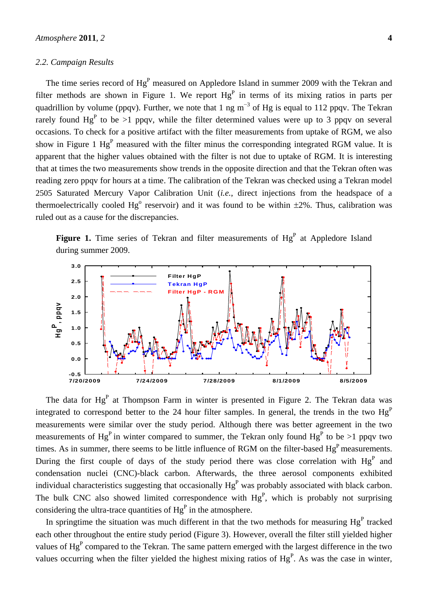#### *2.2. Campaign Results*

The time series record of  $Hg<sup>P</sup>$  measured on Appledore Island in summer 2009 with the Tekran and filter methods are shown in Figure 1. We report  $Hg<sup>P</sup>$  in terms of its mixing ratios in parts per quadrillion by volume (ppqv). Further, we note that 1 ng  $m^{-3}$  of Hg is equal to 112 ppqv. The Tekran rarely found  $Hg<sup>P</sup>$  to be >1 ppqv, while the filter determined values were up to 3 ppqv on several occasions. To check for a positive artifact with the filter measurements from uptake of RGM, we also show in Figure 1  $Hg<sup>P</sup>$  measured with the filter minus the corresponding integrated RGM value. It is apparent that the higher values obtained with the filter is not due to uptake of RGM. It is interesting that at times the two measurements show trends in the opposite direction and that the Tekran often was reading zero ppqv for hours at a time. The calibration of the Tekran was checked using a Tekran model 2505 Saturated Mercury Vapor Calibration Unit (*i.e.*, direct injections from the headspace of a thermoelectrically cooled Hg<sup>o</sup> reservoir) and it was found to be within  $\pm 2\%$ . Thus, calibration was ruled out as a cause for the discrepancies.

Figure 1. Time series of Tekran and filter measurements of Hg<sup>P</sup> at Appledore Island during summer 2009.



The data for  $Hg<sup>P</sup>$  at Thompson Farm in winter is presented in Figure 2. The Tekran data was integrated to correspond better to the 24 hour filter samples. In general, the trends in the two  $Hg<sup>P</sup>$ measurements were similar over the study period. Although there was better agreement in the two measurements of Hg<sup>P</sup> in winter compared to summer, the Tekran only found Hg<sup>P</sup> to be >1 ppqv two times. As in summer, there seems to be little influence of RGM on the filter-based  $Hg<sup>P</sup>$  measurements. During the first couple of days of the study period there was close correlation with  $Hg<sup>P</sup>$  and condensation nuclei (CNC)-black carbon. Afterwards, the three aerosol components exhibited individual characteristics suggesting that occasionally  $Hg<sup>P</sup>$  was probably associated with black carbon. The bulk CNC also showed limited correspondence with  $Hg<sup>P</sup>$ , which is probably not surprising considering the ultra-trace quantities of  $Hg<sup>P</sup>$  in the atmosphere.

In springtime the situation was much different in that the two methods for measuring  $Hg<sup>P</sup>$  tracked each other throughout the entire study period (Figure 3). However, overall the filter still yielded higher values of  $Hg<sup>P</sup>$  compared to the Tekran. The same pattern emerged with the largest difference in the two values occurring when the filter yielded the highest mixing ratios of  $Hg<sup>P</sup>$ . As was the case in winter,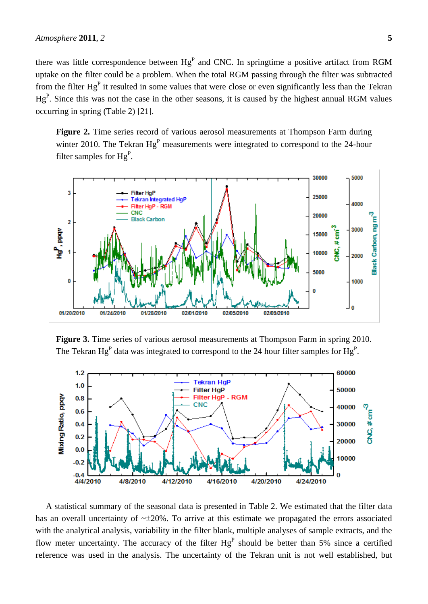there was little correspondence between  $Hg<sup>P</sup>$  and CNC. In springtime a positive artifact from RGM uptake on the filter could be a problem. When the total RGM passing through the filter was subtracted from the filter  $Hg<sup>P</sup>$  it resulted in some values that were close or even significantly less than the Tekran  $Hg<sup>P</sup>$ . Since this was not the case in the other seasons, it is caused by the highest annual RGM values occurring in spring (Table 2) [21].

Figure 2. Time series record of various aerosol measurements at Thompson Farm during winter 2010. The Tekran  $Hg<sup>P</sup>$  measurements were integrated to correspond to the 24-hour filter samples for  $Hg<sup>P</sup>$ .



**Figure 3.** Time series of various aerosol measurements at Thompson Farm in spring 2010. The Tekran Hg<sup>P</sup> data was integrated to correspond to the 24 hour filter samples for Hg<sup>P</sup>.



A statistical summary of the seasonal data is presented in Table 2. We estimated that the filter data has an overall uncertainty of  $\sim \pm 20\%$ . To arrive at this estimate we propagated the errors associated with the analytical analysis, variability in the filter blank, multiple analyses of sample extracts, and the flow meter uncertainty. The accuracy of the filter  $Hg<sup>P</sup>$  should be better than 5% since a certified reference was used in the analysis. The uncertainty of the Tekran unit is not well established, but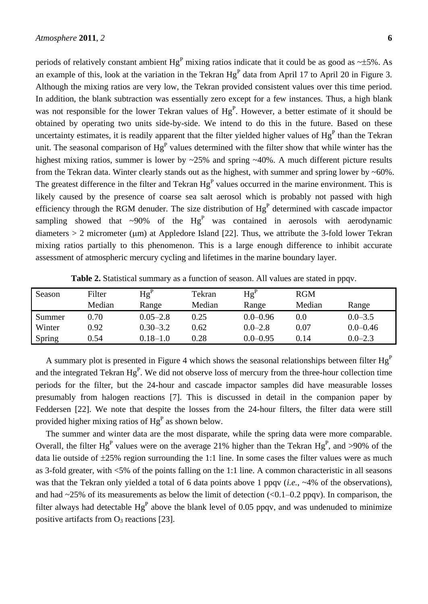periods of relatively constant ambient  $Hg<sup>P</sup>$  mixing ratios indicate that it could be as good as  $\sim \pm 5\%$ . As an example of this, look at the variation in the Tekran  $Hg<sup>P</sup>$  data from April 17 to April 20 in Figure 3. Although the mixing ratios are very low, the Tekran provided consistent values over this time period. In addition, the blank subtraction was essentially zero except for a few instances. Thus, a high blank was not responsible for the lower Tekran values of  $Hg<sup>P</sup>$ . However, a better estimate of it should be obtained by operating two units side-by-side. We intend to do this in the future. Based on these uncertainty estimates, it is readily apparent that the filter yielded higher values of  $Hg<sup>P</sup>$  than the Tekran unit. The seasonal comparison of  $Hg<sup>P</sup>$  values determined with the filter show that while winter has the highest mixing ratios, summer is lower by ~25% and spring ~40%. A much different picture results from the Tekran data. Winter clearly stands out as the highest, with summer and spring lower by ~60%. The greatest difference in the filter and Tekran  $Hg<sup>P</sup>$  values occurred in the marine environment. This is likely caused by the presence of coarse sea salt aerosol which is probably not passed with high efficiency through the RGM denuder. The size distribution of  $Hg<sup>P</sup>$  determined with cascade impactor sampling showed that ~90% of the  $Hg<sup>P</sup>$  was contained in aerosols with aerodynamic diameters  $> 2$  micrometer ( $\mu$ m) at Appledore Island [22]. Thus, we attribute the 3-fold lower Tekran mixing ratios partially to this phenomenon. This is a large enough difference to inhibit accurate assessment of atmospheric mercury cycling and lifetimes in the marine boundary layer.

| Season | Filter | $Hg^P$       | Tekran | $Hg^{P}$     | <b>RGM</b> |              |
|--------|--------|--------------|--------|--------------|------------|--------------|
|        | Median | Range        | Median | Range        | Median     | Range        |
| Summer | 0.70   | $0.05 - 2.8$ | 0.25   | $0.0 - 0.96$ | $0.0\,$    | $0.0 - 3.5$  |
| Winter | 0.92   | $0.30 - 3.2$ | 0.62   | $0.0 - 2.8$  | $0.07\,$   | $0.0 - 0.46$ |
| Spring | 0.54   | $0.18 - 1.0$ | 0.28   | $0.0 - 0.95$ | 0.14       | $0.0 - 2.3$  |

**Table 2.** Statistical summary as a function of season. All values are stated in ppqv.

A summary plot is presented in Figure 4 which shows the seasonal relationships between filter  $Hg<sup>P</sup>$ and the integrated Tekran  $Hg<sup>P</sup>$ . We did not observe loss of mercury from the three-hour collection time periods for the filter, but the 24-hour and cascade impactor samples did have measurable losses presumably from halogen reactions [7]. This is discussed in detail in the companion paper by Feddersen [22]. We note that despite the losses from the 24-hour filters, the filter data were still provided higher mixing ratios of  $Hg<sup>P</sup>$  as shown below.

The summer and winter data are the most disparate, while the spring data were more comparable. Overall, the filter Hg<sup>P</sup> values were on the average 21% higher than the Tekran Hg<sup>P</sup>, and >90% of the data lie outside of  $\pm 25\%$  region surrounding the 1:1 line. In some cases the filter values were as much as 3-fold greater, with <5% of the points falling on the 1:1 line. A common characteristic in all seasons was that the Tekran only yielded a total of 6 data points above 1 ppqv (*i.e.*, ~4% of the observations), and had  $\sim$ 25% of its measurements as below the limit of detection (<0.1–0.2 ppqv). In comparison, the filter always had detectable  $Hg<sup>P</sup>$  above the blank level of 0.05 ppqv, and was undenuded to minimize positive artifacts from  $O_3$  reactions [23].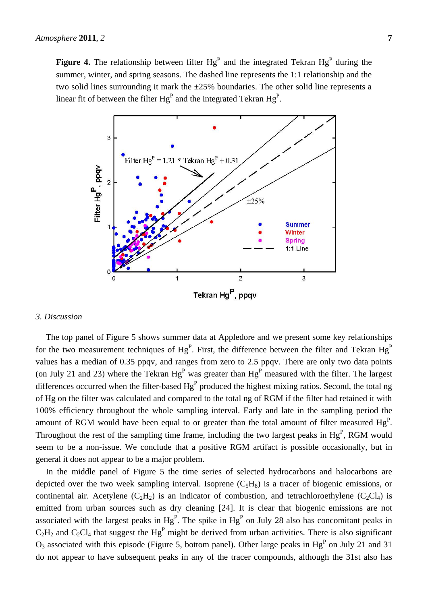

#### *3. Discussion*

The top panel of Figure 5 shows summer data at Appledore and we present some key relationships for the two measurement techniques of  $Hg<sup>P</sup>$ . First, the difference between the filter and Tekran  $Hg<sup>P</sup>$ values has a median of 0.35 ppqv, and ranges from zero to 2.5 ppqv. There are only two data points (on July 21 and 23) where the Tekran  $Hg<sup>P</sup>$  was greater than  $Hg<sup>P</sup>$  measured with the filter. The largest differences occurred when the filter-based  $Hg<sup>P</sup>$  produced the highest mixing ratios. Second, the total ng of Hg on the filter was calculated and compared to the total ng of RGM if the filter had retained it with 100% efficiency throughout the whole sampling interval. Early and late in the sampling period the amount of RGM would have been equal to or greater than the total amount of filter measured  $Hg<sup>P</sup>$ . Throughout the rest of the sampling time frame, including the two largest peaks in  $Hg<sup>P</sup>$ , RGM would seem to be a non-issue. We conclude that a positive RGM artifact is possible occasionally, but in general it does not appear to be a major problem.

In the middle panel of Figure 5 the time series of selected hydrocarbons and halocarbons are depicted over the two week sampling interval. Isoprene  $(C_5H_8)$  is a tracer of biogenic emissions, or continental air. Acetylene (C<sub>2</sub>H<sub>2</sub>) is an indicator of combustion, and tetrachloroethylene (C<sub>2</sub>Cl<sub>4</sub>) is emitted from urban sources such as dry cleaning [24]. It is clear that biogenic emissions are not associated with the largest peaks in  $Hg<sup>P</sup>$ . The spike in  $Hg<sup>P</sup>$  on July 28 also has concomitant peaks in  $C_2H_2$  and  $C_2Cl_4$  that suggest the Hg<sup>P</sup> might be derived from urban activities. There is also significant  $O_3$  associated with this episode (Figure 5, bottom panel). Other large peaks in  $Hg<sup>P</sup>$  on July 21 and 31 do not appear to have subsequent peaks in any of the tracer compounds, although the 31st also has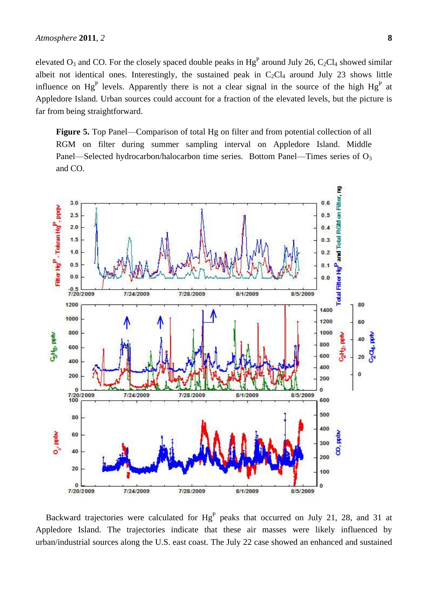elevated  $O_3$  and CO. For the closely spaced double peaks in  $Hg^P$  around July 26, C<sub>2</sub>Cl<sub>4</sub> showed similar albeit not identical ones. Interestingly, the sustained peak in  $C_2Cl_4$  around July 23 shows little influence on Hg<sup>P</sup> levels. Apparently there is not a clear signal in the source of the high Hg<sup>P</sup> at Appledore Island. Urban sources could account for a fraction of the elevated levels, but the picture is far from being straightforward.

**Figure 5.** Top Panel—Comparison of total Hg on filter and from potential collection of all RGM on filter during summer sampling interval on Appledore Island. Middle Panel—Selected hydrocarbon/halocarbon time series. Bottom Panel—Times series of O<sub>3</sub> and CO.



Backward trajectories were calculated for  $Hg<sup>P</sup>$  peaks that occurred on July 21, 28, and 31 at Appledore Island. The trajectories indicate that these air masses were likely influenced by urban/industrial sources along the U.S. east coast. The July 22 case showed an enhanced and sustained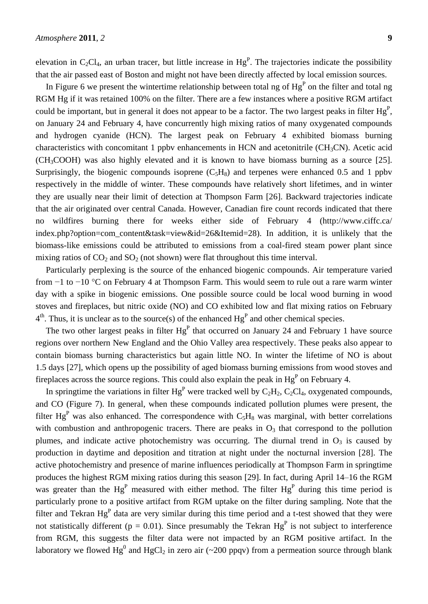elevation in  $C_2Cl_4$ , an urban tracer, but little increase in  $Hg<sup>P</sup>$ . The trajectories indicate the possibility that the air passed east of Boston and might not have been directly affected by local emission sources.

In Figure 6 we present the wintertime relationship between total ng of  $Hg<sup>P</sup>$  on the filter and total ng RGM Hg if it was retained 100% on the filter. There are a few instances where a positive RGM artifact could be important, but in general it does not appear to be a factor. The two largest peaks in filter  $Hg<sup>P</sup>$ , on January 24 and February 4, have concurrently high mixing ratios of many oxygenated compounds and hydrogen cyanide (HCN). The largest peak on February 4 exhibited biomass burning characteristics with concomitant 1 ppby enhancements in HCN and acetonitrile  $(CH_3CN)$ . Acetic acid (CH3COOH) was also highly elevated and it is known to have biomass burning as a source [25]. Surprisingly, the biogenic compounds isoprene  $(C_5H_8)$  and terpenes were enhanced 0.5 and 1 ppbv respectively in the middle of winter. These compounds have relatively short lifetimes, and in winter they are usually near their limit of detection at Thompson Farm [26]. Backward trajectories indicate that the air originated over central Canada. However, Canadian fire count records indicated that there no wildfires burning there for weeks either side of February 4 (http://www.ciffc.ca/ index.php?option=com\_content&task=view&id=26&Itemid=28). In addition, it is unlikely that the biomass-like emissions could be attributed to emissions from a coal-fired steam power plant since mixing ratios of  $CO_2$  and  $SO_2$  (not shown) were flat throughout this time interval.

Particularly perplexing is the source of the enhanced biogenic compounds. Air temperature varied from −1 to −10 C on February 4 at Thompson Farm. This would seem to rule out a rare warm winter day with a spike in biogenic emissions. One possible source could be local wood burning in wood stoves and fireplaces, but nitric oxide (NO) and CO exhibited low and flat mixing ratios on February  $4<sup>th</sup>$ . Thus, it is unclear as to the source(s) of the enhanced  $Hg<sup>P</sup>$  and other chemical species.

The two other largest peaks in filter  $Hg<sup>P</sup>$  that occurred on January 24 and February 1 have source regions over northern New England and the Ohio Valley area respectively. These peaks also appear to contain biomass burning characteristics but again little NO. In winter the lifetime of NO is about 1.5 days [27], which opens up the possibility of aged biomass burning emissions from wood stoves and fireplaces across the source regions. This could also explain the peak in  $Hg<sup>P</sup>$  on February 4.

In springtime the variations in filter  $Hg<sup>P</sup>$  were tracked well by  $C_2H_2$ ,  $C_2Cl_4$ , oxygenated compounds, and CO (Figure 7). In general, when these compounds indicated pollution plumes were present, the filter Hg<sup>P</sup> was also enhanced. The correspondence with  $C_5H_8$  was marginal, with better correlations with combustion and anthropogenic tracers. There are peaks in  $O_3$  that correspond to the pollution plumes, and indicate active photochemistry was occurring. The diurnal trend in  $O_3$  is caused by production in daytime and deposition and titration at night under the nocturnal inversion [28]. The active photochemistry and presence of marine influences periodically at Thompson Farm in springtime produces the highest RGM mixing ratios during this season [29]. In fact, during April 14–16 the RGM was greater than the  $Hg<sup>P</sup>$  measured with either method. The filter  $Hg<sup>P</sup>$  during this time period is particularly prone to a positive artifact from RGM uptake on the filter during sampling. Note that the filter and Tekran  $Hg<sup>P</sup>$  data are very similar during this time period and a t-test showed that they were not statistically different ( $p = 0.01$ ). Since presumably the Tekran Hg<sup>P</sup> is not subject to interference from RGM, this suggests the filter data were not impacted by an RGM positive artifact. In the laboratory we flowed  $Hg^0$  and  $HgCl_2$  in zero air (~200 ppqv) from a permeation source through blank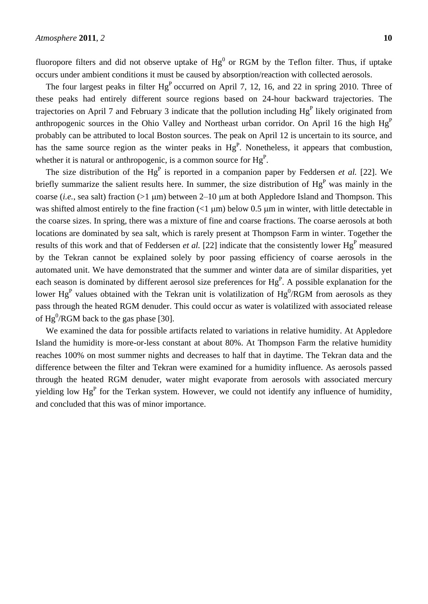fluoropore filters and did not observe uptake of  $Hg^0$  or RGM by the Teflon filter. Thus, if uptake occurs under ambient conditions it must be caused by absorption/reaction with collected aerosols.

The four largest peaks in filter  $Hg<sup>P</sup>$  occurred on April 7, 12, 16, and 22 in spring 2010. Three of these peaks had entirely different source regions based on 24-hour backward trajectories. The trajectories on April 7 and February 3 indicate that the pollution including  $Hg<sup>P</sup>$  likely originated from anthropogenic sources in the Ohio Valley and Northeast urban corridor. On April 16 the high  $Hg<sup>P</sup>$ probably can be attributed to local Boston sources. The peak on April 12 is uncertain to its source, and has the same source region as the winter peaks in  $Hg<sup>P</sup>$ . Nonetheless, it appears that combustion, whether it is natural or anthropogenic, is a common source for  $Hg<sup>P</sup>$ .

The size distribution of the  $Hg<sup>P</sup>$  is reported in a companion paper by Feddersen *et al.* [22]. We briefly summarize the salient results here. In summer, the size distribution of  $Hg<sup>P</sup>$  was mainly in the coarse (*i.e.*, sea salt) fraction ( $>1 \mu m$ ) between 2–10  $\mu m$  at both Appledore Island and Thompson. This was shifted almost entirely to the fine fraction  $(1 \mu m)$  below 0.5  $\mu m$  in winter, with little detectable in the coarse sizes. In spring, there was a mixture of fine and coarse fractions. The coarse aerosols at both locations are dominated by sea salt, which is rarely present at Thompson Farm in winter. Together the results of this work and that of Feddersen *et al.* [22] indicate that the consistently lower Hg<sup>P</sup> measured by the Tekran cannot be explained solely by poor passing efficiency of coarse aerosols in the automated unit. We have demonstrated that the summer and winter data are of similar disparities, yet each season is dominated by different aerosol size preferences for  $Hg<sup>P</sup>$ . A possible explanation for the lower  $Hg<sup>P</sup>$  values obtained with the Tekran unit is volatilization of  $Hg<sup>0</sup>/RGM$  from aerosols as they pass through the heated RGM denuder. This could occur as water is volatilized with associated release of  $Hg^0/RGM$  back to the gas phase [30].

We examined the data for possible artifacts related to variations in relative humidity. At Appledore Island the humidity is more-or-less constant at about 80%. At Thompson Farm the relative humidity reaches 100% on most summer nights and decreases to half that in daytime. The Tekran data and the difference between the filter and Tekran were examined for a humidity influence. As aerosols passed through the heated RGM denuder, water might evaporate from aerosols with associated mercury yielding low  $Hg<sup>P</sup>$  for the Terkan system. However, we could not identify any influence of humidity, and concluded that this was of minor importance.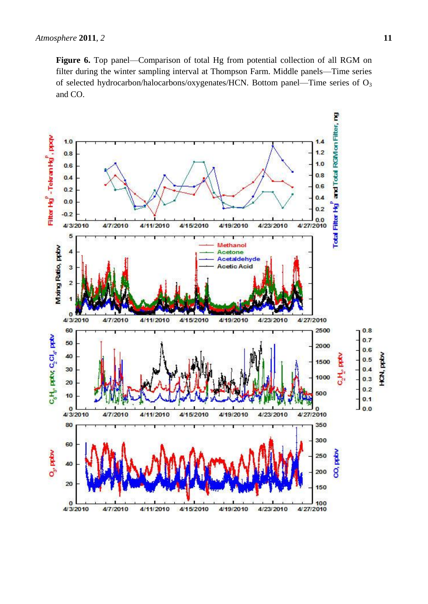**Figure 6.** Top panel—Comparison of total Hg from potential collection of all RGM on filter during the winter sampling interval at Thompson Farm. Middle panels—Time series of selected hydrocarbon/halocarbons/oxygenates/HCN. Bottom panel—Time series of  $O_3$ and CO.

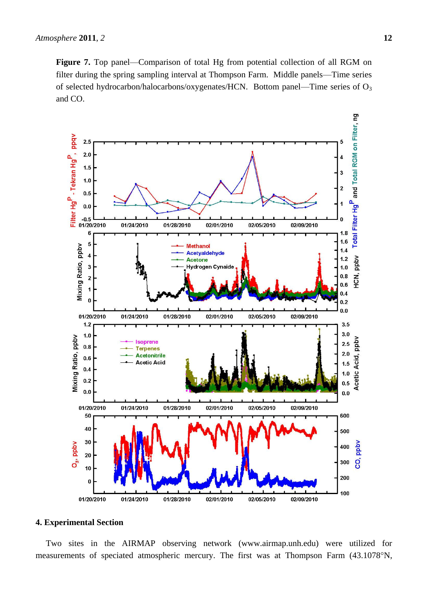**Figure 7.** Top panel—Comparison of total Hg from potential collection of all RGM on filter during the spring sampling interval at Thompson Farm. Middle panels—Time series of selected hydrocarbon/halocarbons/oxygenates/HCN. Bottom panel—Time series of O<sup>3</sup> and CO.



# **4. Experimental Section**

Two sites in the AIRMAP observing network (www.airmap.unh.edu) were utilized for measurements of speciated atmospheric mercury. The first was at Thompson Farm (43.1078°N,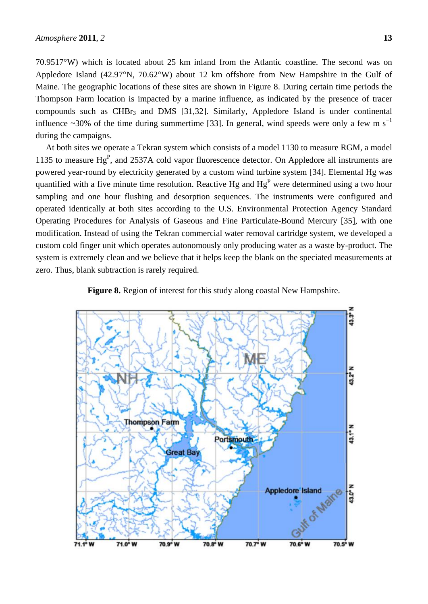70.9517W) which is located about 25 km inland from the Atlantic coastline. The second was on Appledore Island  $(42.97^{\circ}N, 70.62^{\circ}W)$  about 12 km offshore from New Hampshire in the Gulf of Maine. The geographic locations of these sites are shown in Figure 8. During certain time periods the Thompson Farm location is impacted by a marine influence, as indicated by the presence of tracer compounds such as  $CHBr<sub>3</sub>$  and DMS [31,32]. Similarly, Appledore Island is under continental influence ~30% of the time during summertime [33]. In general, wind speeds were only a few m s<sup>−1</sup> during the campaigns.

At both sites we operate a Tekran system which consists of a model 1130 to measure RGM, a model 1135 to measure  $Hg<sup>P</sup>$ , and 2537A cold vapor fluorescence detector. On Appledore all instruments are powered year-round by electricity generated by a custom wind turbine system [34]. Elemental Hg was quantified with a five minute time resolution. Reactive Hg and  $Hg<sup>P</sup>$  were determined using a two hour sampling and one hour flushing and desorption sequences. The instruments were configured and operated identically at both sites according to the U.S. Environmental Protection Agency Standard Operating Procedures for Analysis of Gaseous and Fine Particulate-Bound Mercury [35], with one modification. Instead of using the Tekran commercial water removal cartridge system, we developed a custom cold finger unit which operates autonomously only producing water as a waste by-product. The system is extremely clean and we believe that it helps keep the blank on the speciated measurements at zero. Thus, blank subtraction is rarely required.



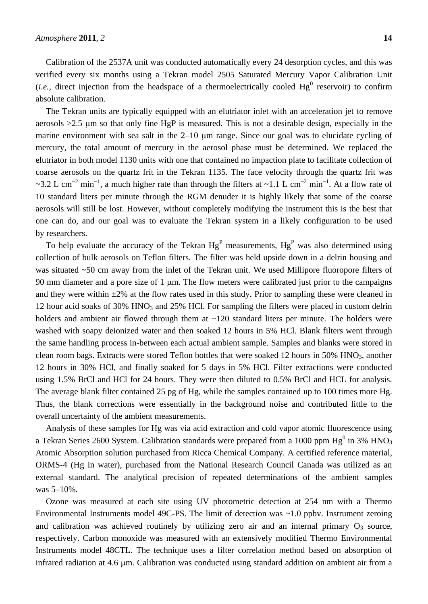Calibration of the 2537A unit was conducted automatically every 24 desorption cycles, and this was verified every six months using a Tekran model 2505 Saturated Mercury Vapor Calibration Unit (*i.e.*, direct injection from the headspace of a thermoelectrically cooled  $Hg^0$  reservoir) to confirm absolute calibration.

The Tekran units are typically equipped with an elutriator inlet with an acceleration jet to remove aerosols  $>2.5$  µm so that only fine HgP is measured. This is not a desirable design, especially in the marine environment with sea salt in the  $2-10$  µm range. Since our goal was to elucidate cycling of mercury, the total amount of mercury in the aerosol phase must be determined. We replaced the elutriator in both model 1130 units with one that contained no impaction plate to facilitate collection of coarse aerosols on the quartz frit in the Tekran 1135. The face velocity through the quartz frit was ~3.2 L cm<sup>-2</sup> min<sup>-1</sup>, a much higher rate than through the filters at ~1.1 L cm<sup>-2</sup> min<sup>-1</sup>. At a flow rate of 10 standard liters per minute through the RGM denuder it is highly likely that some of the coarse aerosols will still be lost. However, without completely modifying the instrument this is the best that one can do, and our goal was to evaluate the Tekran system in a likely configuration to be used by researchers.

To help evaluate the accuracy of the Tekran  $Hg<sup>P</sup>$  measurements,  $Hg<sup>P</sup>$  was also determined using collection of bulk aerosols on Teflon filters. The filter was held upside down in a delrin housing and was situated ~50 cm away from the inlet of the Tekran unit. We used Millipore fluoropore filters of 90 mm diameter and a pore size of 1  $\mu$ m. The flow meters were calibrated just prior to the campaigns and they were within  $\pm 2\%$  at the flow rates used in this study. Prior to sampling these were cleaned in 12 hour acid soaks of 30% HNO<sub>3</sub> and 25% HCl. For sampling the filters were placed in custom delrin holders and ambient air flowed through them at  $\sim$ 120 standard liters per minute. The holders were washed with soapy deionized water and then soaked 12 hours in 5% HCl. Blank filters went through the same handling process in-between each actual ambient sample. Samples and blanks were stored in clean room bags. Extracts were stored Teflon bottles that were soaked 12 hours in 50% HNO<sub>3</sub>, another 12 hours in 30% HCl, and finally soaked for 5 days in 5% HCl. Filter extractions were conducted using 1.5% BrCl and HCl for 24 hours. They were then diluted to 0.5% BrCl and HCL for analysis. The average blank filter contained 25 pg of Hg, while the samples contained up to 100 times more Hg. Thus, the blank corrections were essentially in the background noise and contributed little to the overall uncertainty of the ambient measurements.

Analysis of these samples for Hg was via acid extraction and cold vapor atomic fluorescence using a Tekran Series 2600 System. Calibration standards were prepared from a 1000 ppm Hg $^0$  in 3% HNO<sub>3</sub> Atomic Absorption solution purchased from Ricca Chemical Company. A certified reference material, ORMS-4 (Hg in water), purchased from the National Research Council Canada was utilized as an external standard. The analytical precision of repeated determinations of the ambient samples was 5–10%.

Ozone was measured at each site using UV photometric detection at 254 nm with a Thermo Environmental Instruments model 49C-PS. The limit of detection was ~1.0 ppbv. Instrument zeroing and calibration was achieved routinely by utilizing zero air and an internal primary  $O_3$  source, respectively. Carbon monoxide was measured with an extensively modified Thermo Environmental Instruments model 48CTL. The technique uses a filter correlation method based on absorption of infrared radiation at 4.6 µm. Calibration was conducted using standard addition on ambient air from a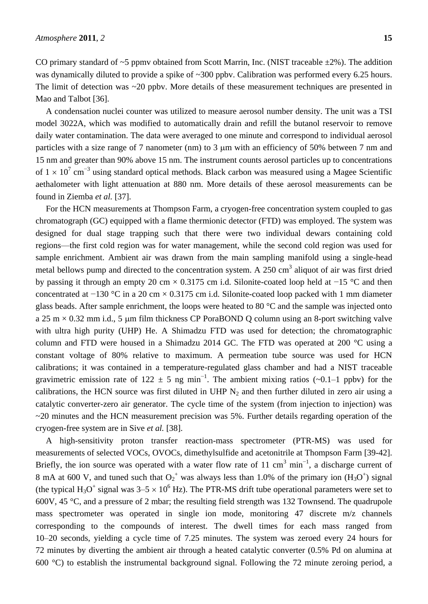CO primary standard of  $\sim$ 5 ppmv obtained from Scott Marrin, Inc. (NIST traceable  $\pm$ 2%). The addition was dynamically diluted to provide a spike of ~300 ppby. Calibration was performed every 6.25 hours. The limit of detection was ~20 ppby. More details of these measurement techniques are presented in Mao and Talbot [36].

A condensation nuclei counter was utilized to measure aerosol number density. The unit was a TSI model 3022A, which was modified to automatically drain and refill the butanol reservoir to remove daily water contamination. The data were averaged to one minute and correspond to individual aerosol particles with a size range of 7 nanometer (nm) to 3  $\mu$ m with an efficiency of 50% between 7 nm and 15 nm and greater than 90% above 15 nm. The instrument counts aerosol particles up to concentrations of  $1 \times 10^7$  cm<sup>-3</sup> using standard optical methods. Black carbon was measured using a Magee Scientific aethalometer with light attenuation at 880 nm. More details of these aerosol measurements can be found in Ziemba *et al.* [37].

For the HCN measurements at Thompson Farm, a cryogen-free concentration system coupled to gas chromatograph (GC) equipped with a flame thermionic detector (FTD) was employed. The system was designed for dual stage trapping such that there were two individual dewars containing cold regions—the first cold region was for water management, while the second cold region was used for sample enrichment. Ambient air was drawn from the main sampling manifold using a single-head metal bellows pump and directed to the concentration system. A  $250 \text{ cm}^3$  aliquot of air was first dried by passing it through an empty 20 cm × 0.3175 cm i.d. Silonite-coated loop held at −15 °C and then concentrated at −130 °C in a 20 cm × 0.3175 cm i.d. Silonite-coated loop packed with 1 mm diameter glass beads. After sample enrichment, the loops were heated to 80  $\degree$ C and the sample was injected onto a 25 m  $\times$  0.32 mm i.d., 5 µm film thickness CP PoraBOND Q column using an 8-port switching valve with ultra high purity (UHP) He. A Shimadzu FTD was used for detection; the chromatographic column and FTD were housed in a Shimadzu 2014 GC. The FTD was operated at 200  $\degree$ C using a constant voltage of 80% relative to maximum. A permeation tube source was used for HCN calibrations; it was contained in a temperature-regulated glass chamber and had a NIST traceable gravimetric emission rate of 122  $\pm$  5 ng min<sup>-1</sup>. The ambient mixing ratios (~0.1–1 ppbv) for the calibrations, the HCN source was first diluted in UHP  $N_2$  and then further diluted in zero air using a catalytic converter-zero air generator. The cycle time of the system (from injection to injection) was  $\sim$ 20 minutes and the HCN measurement precision was 5%. Further details regarding operation of the cryogen-free system are in Sive *et al.* [38].

A high-sensitivity proton transfer reaction-mass spectrometer (PTR-MS) was used for measurements of selected VOCs, OVOCs, dimethylsulfide and acetonitrile at Thompson Farm [39-42]. Briefly, the ion source was operated with a water flow rate of 11 cm<sup>3</sup> min<sup>-1</sup>, a discharge current of 8 mA at 600 V, and tuned such that  $O_2^+$  was always less than 1.0% of the primary ion  $(H_3O^+)$  signal (the typical  $H_3O^+$  signal was  $3-5 \times 10^6$  Hz). The PTR-MS drift tube operational parameters were set to 600V, 45 °C, and a pressure of 2 mbar; the resulting field strength was 132 Townsend. The quadrupole mass spectrometer was operated in single ion mode, monitoring 47 discrete m/z channels corresponding to the compounds of interest. The dwell times for each mass ranged from 10–20 seconds, yielding a cycle time of 7.25 minutes. The system was zeroed every 24 hours for 72 minutes by diverting the ambient air through a heated catalytic converter (0.5% Pd on alumina at 600 °C) to establish the instrumental background signal. Following the 72 minute zeroing period, a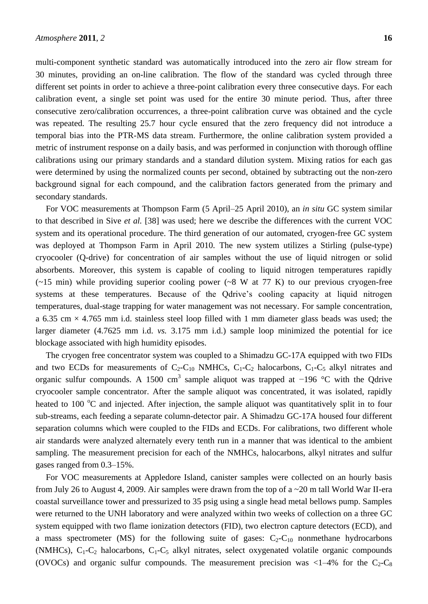multi-component synthetic standard was automatically introduced into the zero air flow stream for 30 minutes, providing an on-line calibration. The flow of the standard was cycled through three different set points in order to achieve a three-point calibration every three consecutive days. For each calibration event, a single set point was used for the entire 30 minute period. Thus, after three consecutive zero/calibration occurrences, a three-point calibration curve was obtained and the cycle was repeated. The resulting 25.7 hour cycle ensured that the zero frequency did not introduce a temporal bias into the PTR-MS data stream. Furthermore, the online calibration system provided a metric of instrument response on a daily basis, and was performed in conjunction with thorough offline calibrations using our primary standards and a standard dilution system. Mixing ratios for each gas were determined by using the normalized counts per second, obtained by subtracting out the non-zero background signal for each compound, and the calibration factors generated from the primary and secondary standards.

For VOC measurements at Thompson Farm (5 April–25 April 2010), an *in situ* GC system similar to that described in Sive *et al.* [38] was used; here we describe the differences with the current VOC system and its operational procedure. The third generation of our automated, cryogen-free GC system was deployed at Thompson Farm in April 2010. The new system utilizes a Stirling (pulse-type) cryocooler (Q-drive) for concentration of air samples without the use of liquid nitrogen or solid absorbents. Moreover, this system is capable of cooling to liquid nitrogen temperatures rapidly  $(-15 \text{ min})$  while providing superior cooling power  $(-8 \text{ W at } 77 \text{ K})$  to our previous cryogen-free systems at these temperatures. Because of the Qdrive's cooling capacity at liquid nitrogen temperatures, dual-stage trapping for water management was not necessary. For sample concentration, a 6.35 cm  $\times$  4.765 mm i.d. stainless steel loop filled with 1 mm diameter glass beads was used; the larger diameter (4.7625 mm i.d. *vs.* 3.175 mm i.d.) sample loop minimized the potential for ice blockage associated with high humidity episodes.

The cryogen free concentrator system was coupled to a Shimadzu GC-17A equipped with two FIDs and two ECDs for measurements of  $C_2$ -C<sub>10</sub> NMHCs, C<sub>1</sub>-C<sub>2</sub> halocarbons, C<sub>1</sub>-C<sub>5</sub> alkyl nitrates and organic sulfur compounds. A 1500 cm<sup>3</sup> sample aliquot was trapped at  $-196$  °C with the Qdrive cryocooler sample concentrator. After the sample aliquot was concentrated, it was isolated, rapidly heated to 100  $\degree$ C and injected. After injection, the sample aliquot was quantitatively split in to four sub-streams, each feeding a separate column-detector pair. A Shimadzu GC-17A housed four different separation columns which were coupled to the FIDs and ECDs. For calibrations, two different whole air standards were analyzed alternately every tenth run in a manner that was identical to the ambient sampling. The measurement precision for each of the NMHCs, halocarbons, alkyl nitrates and sulfur gases ranged from 0.3–15%.

For VOC measurements at Appledore Island, canister samples were collected on an hourly basis from July 26 to August 4, 2009. Air samples were drawn from the top of a ~20 m tall World War II-era coastal surveillance tower and pressurized to 35 psig using a single head metal bellows pump. Samples were returned to the UNH laboratory and were analyzed within two weeks of collection on a three GC system equipped with two flame ionization detectors (FID), two electron capture detectors (ECD), and a mass spectrometer (MS) for the following suite of gases:  $C_2-C_{10}$  nonmethane hydrocarbons (NMHCs),  $C_1-C_2$  halocarbons,  $C_1-C_5$  alkyl nitrates, select oxygenated volatile organic compounds (OVOCs) and organic sulfur compounds. The measurement precision was  $\langle 1-4\%$  for the C<sub>2</sub>-C<sub>8</sub>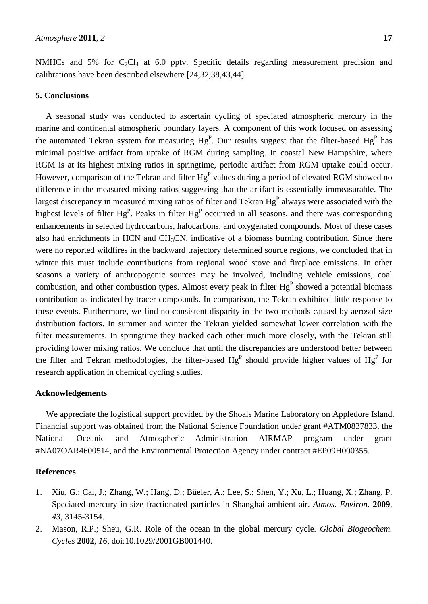NMHCs and 5% for  $C_2Cl_4$  at 6.0 pptv. Specific details regarding measurement precision and calibrations have been described elsewhere [24,32,38,43,44].

# **5. Conclusions**

A seasonal study was conducted to ascertain cycling of speciated atmospheric mercury in the marine and continental atmospheric boundary layers. A component of this work focused on assessing the automated Tekran system for measuring  $Hg<sup>P</sup>$ . Our results suggest that the filter-based  $Hg<sup>P</sup>$  has minimal positive artifact from uptake of RGM during sampling. In coastal New Hampshire, where RGM is at its highest mixing ratios in springtime, periodic artifact from RGM uptake could occur. However, comparison of the Tekran and filter  $Hg<sup>P</sup>$  values during a period of elevated RGM showed no difference in the measured mixing ratios suggesting that the artifact is essentially immeasurable. The largest discrepancy in measured mixing ratios of filter and Tekran  $Hg<sup>P</sup>$  always were associated with the highest levels of filter Hg<sup>P</sup>. Peaks in filter  $Hg<sup>P</sup>$  occurred in all seasons, and there was corresponding enhancements in selected hydrocarbons, halocarbons, and oxygenated compounds. Most of these cases also had enrichments in HCN and CH3CN, indicative of a biomass burning contribution. Since there were no reported wildfires in the backward trajectory determined source regions, we concluded that in winter this must include contributions from regional wood stove and fireplace emissions. In other seasons a variety of anthropogenic sources may be involved, including vehicle emissions, coal combustion, and other combustion types. Almost every peak in filter  $Hg<sup>P</sup>$  showed a potential biomass contribution as indicated by tracer compounds. In comparison, the Tekran exhibited little response to these events. Furthermore, we find no consistent disparity in the two methods caused by aerosol size distribution factors. In summer and winter the Tekran yielded somewhat lower correlation with the filter measurements. In springtime they tracked each other much more closely, with the Tekran still providing lower mixing ratios. We conclude that until the discrepancies are understood better between the filter and Tekran methodologies, the filter-based  $Hg<sup>P</sup>$  should provide higher values of  $Hg<sup>P</sup>$  for research application in chemical cycling studies.

### **Acknowledgements**

We appreciate the logistical support provided by the Shoals Marine Laboratory on Appledore Island. Financial support was obtained from the National Science Foundation under grant #ATM0837833, the National Oceanic and Atmospheric Administration AIRMAP program under grant #NA07OAR4600514, and the Environmental Protection Agency under contract #EP09H000355.

## **References**

- 1. Xiu, G.; Cai, J.; Zhang, W.; Hang, D.; Büeler, A.; Lee, S.; Shen, Y.; Xu, L.; Huang, X.; Zhang, P. Speciated mercury in size-fractionated particles in Shanghai ambient air. *Atmos. Environ.* **2009**, *43*, 3145-3154.
- 2. Mason, R.P.; Sheu, G.R. Role of the ocean in the global mercury cycle. *Global Biogeochem. Cycles* **2002**, *16*, doi:10.1029/2001GB001440.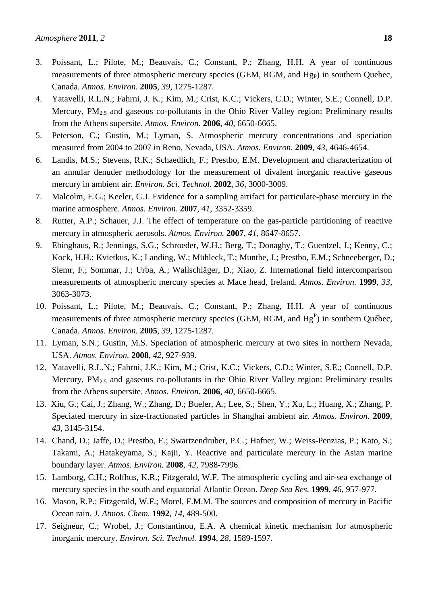- 3. Poissant, L.; Pilote, M.; Beauvais, C.; Constant, P.; Zhang, H.H. A year of continuous measurements of three atmospheric mercury species (GEM, RGM, and  $Hg<sub>P</sub>$ ) in southern Quebec, Canada. *Atmos. Environ.* **2005**, *39*, 1275-1287.
- 4. Yatavelli, R.L.N.; Fahrni, J. K.; Kim, M.; Crist, K.C.; Vickers, C.D.; Winter, S.E.; Connell, D.P. Mercury, PM<sub>2.5</sub> and gaseous co-pollutants in the Ohio River Valley region: Preliminary results from the Athens supersite. *Atmos. Environ.* **2006**, *40*, 6650-6665.
- 5. Peterson, C.; Gustin, M.; Lyman, S. Atmospheric mercury concentrations and speciation measured from 2004 to 2007 in Reno, Nevada, USA. *Atmos. Environ.* **2009**, *43*, 4646-4654.
- 6. Landis, M.S.; Stevens, R.K.; Schaedlich, F.; Prestbo, E.M. Development and characterization of an annular denuder methodology for the measurement of divalent inorganic reactive gaseous mercury in ambient air. *Environ. Sci. Technol.* **2002**, *36*, 3000-3009.
- 7. Malcolm, E.G.; Keeler, G.J. Evidence for a sampling artifact for particulate-phase mercury in the marine atmosphere. *Atmos. Environ*. **2007**, *41*, 3352-3359.
- 8. Rutter, A.P.; Schauer, J.J. The effect of temperature on the gas-particle partitioning of reactive mercury in atmospheric aerosols. *Atmos. Environ.* **2007**, *41*, 8647-8657.
- 9. Ebinghaus, R.; Jennings, S.G.; Schroeder, W.H.; Berg, T.; Donaghy, T.; Guentzel, J.; Kenny, C.; Kock, H.H.; Kvietkus, K.; Landing, W.; Mühleck, T.; Munthe, J.; Prestbo, E.M.; Schneeberger, D.; Slemr, F.; Sommar, J.; Urba, A.; Wallschläger, D.; Xiao, Z. International field intercomparison measurements of atmospheric mercury species at Mace head, Ireland. *Atmos. Environ.* **1999**, *33*, 3063-3073.
- 10. Poissant, L.; Pilote, M.; Beauvais, C.; Constant, P.; Zhang, H.H. A year of continuous measurements of three atmospheric mercury species (GEM, RGM, and  $Hg<sup>P</sup>$ ) in southern Qu dbec, Canada. *Atmos. Environ.* **2005**, *39*, 1275-1287.
- 11. Lyman, S.N.; Gustin, M.S. Speciation of atmospheric mercury at two sites in northern Nevada, USA. *Atmos. Environ.* **2008**, *42*, 927-939.
- 12. Yatavelli, R.L.N.; Fahrni, J.K.; Kim, M.; Crist, K.C.; Vickers, C.D.; Winter, S.E.; Connell, D.P. Mercury, PM<sub>2.5</sub> and gaseous co-pollutants in the Ohio River Valley region: Preliminary results from the Athens supersite. *Atmos. Environ.* **2006**, *40*, 6650-6665.
- 13. Xiu, G.; Cai, J.; Zhang, W.; Zhang, D.; Bueler, A.; Lee, S.; Shen, Y.; Xu, L.; Huang, X.; Zhang, P. Speciated mercury in size-fractionated particles in Shanghai ambient air. *Atmos. Environ.* **2009**, *43*, 3145-3154.
- 14. Chand, D.; Jaffe, D.; Prestbo, E.; Swartzendruber, P.C.; Hafner, W.; Weiss-Penzias, P.; Kato, S.; Takami, A.; Hatakeyama, S.; Kajii, Y. Reactive and particulate mercury in the Asian marine boundary layer. *Atmos. Environ.* **2008**, *42*, 7988-7996.
- 15. Lamborg, C.H.; Rolfhus, K.R.; Fitzgerald, W.F. The atmospheric cycling and air-sea exchange of mercury species in the south and equatorial Atlantic Ocean. *Deep Sea Res.* **1999**, *46*, 957-977.
- 16. Mason, R.P.; Fitzgerald, W.F.; Morel, F.M.M. The sources and composition of mercury in Pacific Ocean rain. *J. Atmos. Chem.* **1992**, *14*, 489-500.
- 17. Seigneur, C.; Wrobel, J.; Constantinou, E.A. A chemical kinetic mechanism for atmospheric inorganic mercury. *Environ. Sci. Technol.* **1994**, *28*, 1589-1597.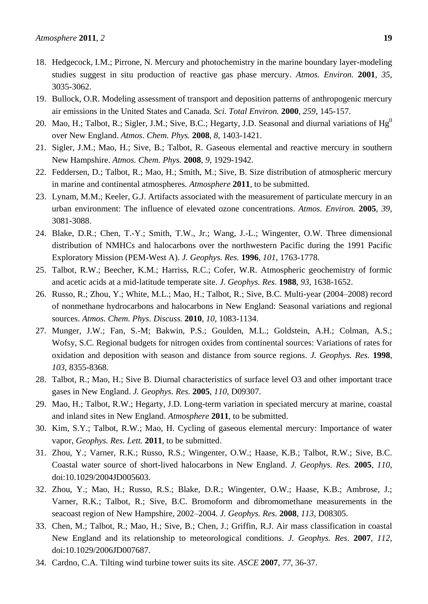- 18. Hedgecock, I.M.; Pirrone, N. Mercury and photochemistry in the marine boundary layer-modeling studies suggest in situ production of reactive gas phase mercury. *Atmos. Environ.* **2001**, *35*, 3035-3062.
- 19. Bullock, O.R. Modeling assessment of transport and deposition patterns of anthropogenic mercury air emissions in the United States and Canada. *Sci. Total Environ.* **2000**, *259*, 145-157.
- 20. Mao, H.; Talbot, R.; Sigler, J.M.; Sive, B.C.; Hegarty, J.D. Seasonal and diurnal variations of  $Hg^0$ over New England. *Atmos. Chem. Phys.* **2008**, *8*, 1403-1421.
- 21. Sigler, J.M.; Mao, H.; Sive, B.; Talbot, R. Gaseous elemental and reactive mercury in southern New Hampshire. *Atmos. Chem. Phys.* **2008**, *9*, 1929-1942.
- 22. Feddersen, D.; Talbot, R.; Mao, H.; Smith, M.; Sive, B. Size distribution of atmospheric mercury in marine and continental atmospheres. *Atmosphere* **2011**, to be submitted.
- 23. Lynam, M.M.; Keeler, G.J. Artifacts associated with the measurement of particulate mercury in an urban environment: The influence of elevated ozone concentrations. *Atmos. Environ.* **2005**, *39*, 3081-3088.
- 24. Blake, D.R.; Chen, T.-Y.; Smith, T.W., Jr.; Wang, J.-L.; Wingenter, O.W. Three dimensional distribution of NMHCs and halocarbons over the northwestern Pacific during the 1991 Pacific Exploratory Mission (PEM-West A). *J. Geophys. Res.* **1996**, *101*, 1763-1778.
- 25. Talbot, R.W.; Beecher, K.M.; Harriss, R.C.; Cofer, W.R. Atmospheric geochemistry of formic and acetic acids at a mid-latitude temperate site. *J. Geophys. Res.* **1988**, *93*, 1638-1652.
- 26. Russo, R.; Zhou, Y.; White, M.L.; Mao, H.; Talbot, R.; Sive, B.C. Multi-year (2004–2008) record of nonmethane hydrocarbons and halocarbons in New England: Seasonal variations and regional sources. *Atmos. Chem. Phys. Discuss.* **2010**, *10*, 1083-1134.
- 27. Munger, J.W.; Fan, S.-M; Bakwin, P.S.; Goulden, M.L.; Goldstein, A.H.; Colman, A.S.; Wofsy, S.C. Regional budgets for nitrogen oxides from continental sources: Variations of rates for oxidation and deposition with season and distance from source regions. *J. Geophys. Res.* **1998**, *103*, 8355-8368.
- 28. Talbot, R.; Mao, H.; Sive B. Diurnal characteristics of surface level O3 and other important trace gases in New England. *J. Geophys. Res.* **2005**, *110*, D09307.
- 29. Mao, H.; Talbot, R.W.; Hegarty, J.D. Long-term variation in speciated mercury at marine, coastal and inland sites in New England. *Atmosphere* **2011**, to be submitted.
- 30. Kim, S.Y.; Talbot, R.W.; Mao, H. Cycling of gaseous elemental mercury: Importance of water vapor, *Geophys. Res. Lett.* **2011**, to be submitted.
- 31. Zhou, Y.; Varner, R.K.; Russo, R.S.; Wingenter, O.W.; Haase, K.B.; Talbot, R.W.; Sive, B.C. Coastal water source of short-lived halocarbons in New England. *J. Geophys. Res.* **2005**, *110*, doi:10.1029/2004JD005603.
- 32. Zhou, Y.; Mao, H.; Russo, R.S.; Blake, D.R.; Wingenter, O.W.; Haase, K.B.; Ambrose, J.; Varner, R.K.; Talbot, R.; Sive, B.C. Bromoform and dibromomethane measurements in the seacoast region of New Hampshire, 2002–2004. *J. Geophys. Res.* **2008**, *113*, D08305.
- 33. Chen, M.; Talbot, R.; Mao, H.; Sive, B.; Chen, J.; Griffin, R.J. Air mass classification in coastal New England and its relationship to meteorological conditions. *J. Geophys. Res*. **2007**, *112*, doi:10.1029/2006JD007687.
- 34. Cardno, C.A. Tilting wind turbine tower suits its site. *ASCE* **2007**, *77*, 36-37.